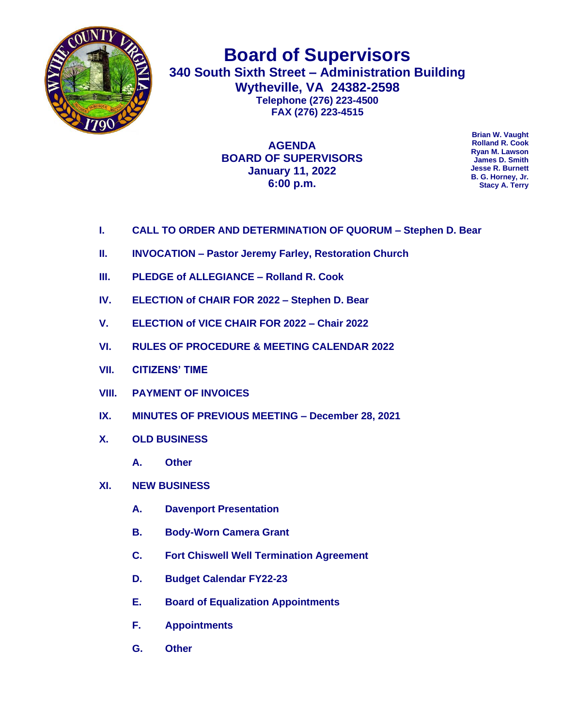

**Board of Supervisors 340 South Sixth Street – Administration Building Wytheville, VA 24382-2598 Telephone (276) 223-4500 FAX (276) 223-4515**

> **AGENDA BOARD OF SUPERVISORS January 11, 2022 6:00 p.m.**

**Brian W. Vaught Rolland R. Cook Ryan M. Lawson James D. Smith Jesse R. Burnett B. G. Horney, Jr. Stacy A. Terry**

- **I. CALL TO ORDER AND DETERMINATION OF QUORUM – Stephen D. Bear**
- **II. INVOCATION – Pastor Jeremy Farley, Restoration Church**
- **III. PLEDGE of ALLEGIANCE – Rolland R. Cook**
- **IV. ELECTION of CHAIR FOR 2022 – Stephen D. Bear**
- **V. ELECTION of VICE CHAIR FOR 2022 – Chair 2022**
- **VI. RULES OF PROCEDURE & MEETING CALENDAR 2022**
- **VII. CITIZENS' TIME**
- **VIII. PAYMENT OF INVOICES**
- **IX. MINUTES OF PREVIOUS MEETING – December 28, 2021**
- **X. OLD BUSINESS**
	- **A. Other**
- **XI. NEW BUSINESS** 
	- **A. Davenport Presentation**
	- **B. Body-Worn Camera Grant**
	- **C. Fort Chiswell Well Termination Agreement**
	- **D. Budget Calendar FY22-23**
	- **E. Board of Equalization Appointments**
	- **F. Appointments**
	- **G. Other**